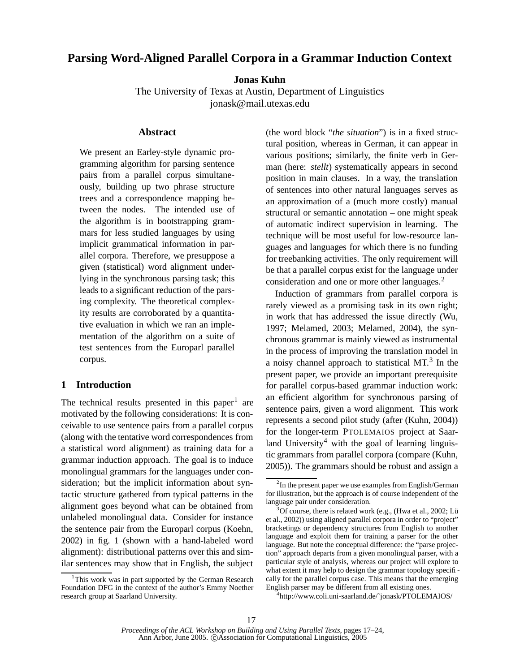# **Parsing Word-Aligned Parallel Corpora in a Grammar Induction Context**

**Jonas Kuhn**

The University of Texas at Austin, Department of Linguistics jonask@mail.utexas.edu

#### **Abstract**

We present an Earley-style dynamic programming algorithm for parsing sentence pairs from a parallel corpus simultaneously, building up two phrase structure trees and a correspondence mapping between the nodes. The intended use of the algorithm is in bootstrapping grammars for less studied languages by using implicit grammatical information in parallel corpora. Therefore, we presuppose a given (statistical) word alignment underlying in the synchronous parsing task; this leads to a significant reduction of the parsing complexity. The theoretical complexity results are corroborated by a quantitative evaluation in which we ran an implementation of the algorithm on a suite of test sentences from the Europarl parallel corpus.

## **1 Introduction**

The technical results presented in this paper<sup>1</sup> are motivated by the following considerations: It is conceivable to use sentence pairs from a parallel corpus (along with the tentative word correspondences from a statistical word alignment) as training data for a grammar induction approach. The goal is to induce monolingual grammars for the languages under consideration; but the implicit information about syntactic structure gathered from typical patterns in the alignment goes beyond what can be obtained from unlabeled monolingual data. Consider for instance the sentence pair from the Europarl corpus (Koehn, 2002) in fig. 1 (shown with a hand-labeled word alignment): distributional patterns over this and similar sentences may show that in English, the subject (the word block "*the situation*") is in a fixed structural position, whereas in German, it can appear in various positions; similarly, the finite verb in German (here: *stellt*) systematically appears in second position in main clauses. In a way, the translation of sentences into other natural languages serves as an approximation of a (much more costly) manual structural or semantic annotation – one might speak of automatic indirect supervision in learning. The technique will be most useful for low-resource languages and languages for which there is no funding for treebanking activities. The only requirement will be that a parallel corpus exist for the language under consideration and one or more other languages.<sup>2</sup>

Induction of grammars from parallel corpora is rarely viewed as a promising task in its own right; in work that has addressed the issue directly (Wu, 1997; Melamed, 2003; Melamed, 2004), the synchronous grammar is mainly viewed as instrumental in the process of improving the translation model in a noisy channel approach to statistical MT.<sup>3</sup> In the present paper, we provide an important prerequisite for parallel corpus-based grammar induction work: an efficient algorithm for synchronous parsing of sentence pairs, given a word alignment. This work represents a second pilot study (after (Kuhn, 2004)) for the longer-term PTOLEMAIOS project at Saarland University<sup>4</sup> with the goal of learning linguistic grammars from parallel corpora (compare (Kuhn, 2005)). The grammars should be robust and assign a

4 http://www.coli.uni-saarland.de/˜jonask/PTOLEMAIOS/

<sup>&</sup>lt;sup>1</sup>This work was in part supported by the German Research Foundation DFG in the context of the author's Emmy Noether research group at Saarland University.

<sup>&</sup>lt;sup>2</sup>In the present paper we use examples from English/German for illustration, but the approach is of course independent of the language pair under consideration.

 $3^3$ Of course, there is related work (e.g., (Hwa et al., 2002; Lü et al., 2002)) using aligned parallel corpora in order to "project" bracketings or dependency structures from English to another language and exploit them for training a parser for the other language. But note the conceptual difference: the "parse projection" approach departs from a given monolingual parser, with a particular style of analysis, whereas our project will explore to what extent it may help to design the grammar topology specifically for the parallel corpus case. This means that the emerging English parser may be different from all existing ones.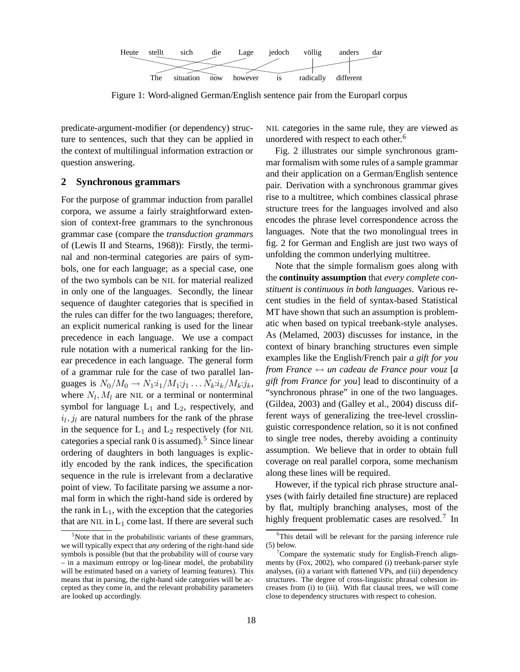

Figure 1: Word-aligned German/English sentence pair from the Europarl corpus

predicate-argument-modifier (or dependency) structure to sentences, such that they can be applied in the context of multilingual information extraction or question answering.

#### **2 Synchronous grammars**

For the purpose of grammar induction from parallel corpora, we assume a fairly straightforward extension of context-free grammars to the synchronous grammar case (compare the *transduction grammars* of (Lewis II and Stearns, 1968)): Firstly, the terminal and non-terminal categories are pairs of symbols, one for each language; as a special case, one of the two symbols can be NIL for material realized in only one of the languages. Secondly, the linear sequence of daughter categories that is specified in the rules can differ for the two languages; therefore, an explicit numerical ranking is used for the linear precedence in each language. We use a compact rule notation with a numerical ranking for the linear precedence in each language. The general form of a grammar rule for the case of two parallel languages is  $N_0/M_0 \to N_1: i_1/M_1: j_1 \dots N_k: i_k/M_k: j_k$ , where  $N_l$ ,  $M_l$  are NIL or a terminal or nonterminal symbol for language  $L_1$  and  $L_2$ , respectively, and  $i_l$ ,  $j_l$  are natural numbers for the rank of the phrase in the sequence for  $L_1$  and  $L_2$  respectively (for NIL categories a special rank  $0$  is assumed).<sup>5</sup> Since linear ordering of daughters in both languages is explicitly encoded by the rank indices, the specification sequence in the rule is irrelevant from a declarative point of view. To facilitate parsing we assume a normal form in which the right-hand side is ordered by the rank in  $L_1$ , with the exception that the categories that are NIL in  $L_1$  come last. If there are several such

NIL categories in the same rule, they are viewed as unordered with respect to each other. 6

Fig. 2 illustrates our simple synchronous grammar formalism with some rules of a sample grammar and their application on a German/English sentence pair. Derivation with a synchronous grammar gives rise to a multitree, which combines classical phrase structure trees for the languages involved and also encodes the phrase level correspondence across the languages. Note that the two monolingual trees in fig. 2 for German and English are just two ways of unfolding the common underlying multitree.

Note that the simple formalism goes along with the **continuity assumption** that *every complete constituent is continuous in both languages*. Various recent studies in the field of syntax-based Statistical MT have shown that such an assumption is problematic when based on typical treebank-style analyses. As (Melamed, 2003) discusses for instance, in the context of binary branching structures even simple examples like the English/French pair *a gift for you from France* ↔ *un cadeau de France pour vouz* [*a gift from France for you*] lead to discontinuity of a "synchronous phrase" in one of the two languages. (Gildea, 2003) and (Galley et al., 2004) discuss different ways of generalizing the tree-level crosslinguistic correspondence relation, so it is not confined to single tree nodes, thereby avoiding a continuity assumption. We believe that in order to obtain full coverage on real parallel corpora, some mechanism along these lines will be required.

However, if the typical rich phrase structure analyses (with fairly detailed fine structure) are replaced by flat, multiply branching analyses, most of the highly frequent problematic cases are resolved.<sup>7</sup> In

Note that in the probabilistic variants of these grammars, we will typically expect that *any* ordering of the right-hand side symbols is possible (but that the probability will of course vary – in a maximum entropy or log-linear model, the probability will be estimated based on a variety of learning features). This means that in parsing, the right-hand side categories will be accepted as they come in, and the relevant probability parameters are looked up accordingly.

<sup>&</sup>lt;sup>6</sup>This detail will be relevant for the parsing inference rule (5) below.

 $7$ Compare the systematic study for English-French alignments by (Fox, 2002), who compared (i) treebank-parser style analyses, (ii) a variant with flattened VPs, and (iii) dependency structures. The degree of cross-linguistic phrasal cohesion increases from (i) to (iii). With flat clausal trees, we will come close to dependency structures with respect to cohesion.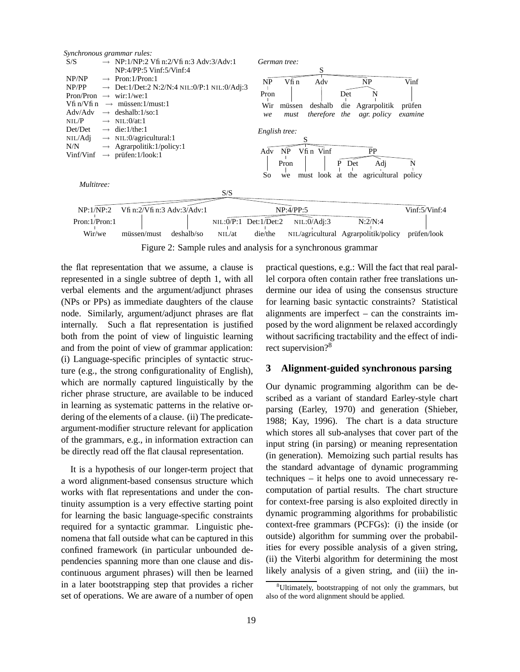

Figure 2: Sample rules and analysis for a synchronous grammar

the flat representation that we assume, a clause is represented in a single subtree of depth 1, with all verbal elements and the argument/adjunct phrases (NPs or PPs) as immediate daughters of the clause node. Similarly, argument/adjunct phrases are flat internally. Such a flat representation is justified both from the point of view of linguistic learning and from the point of view of grammar application: (i) Language-specific principles of syntactic structure (e.g., the strong configurationality of English), which are normally captured linguistically by the richer phrase structure, are available to be induced in learning as systematic patterns in the relative ordering of the elements of a clause. (ii) The predicateargument-modifier structure relevant for application of the grammars, e.g., in information extraction can be directly read off the flat clausal representation.

It is a hypothesis of our longer-term project that a word alignment-based consensus structure which works with flat representations and under the continuity assumption is a very effective starting point for learning the basic language-specific constraints required for a syntactic grammar. Linguistic phenomena that fall outside what can be captured in this confined framework (in particular unbounded dependencies spanning more than one clause and discontinuous argument phrases) will then be learned in a later bootstrapping step that provides a richer set of operations. We are aware of a number of open practical questions, e.g.: Will the fact that real parallel corpora often contain rather free translations undermine our idea of using the consensus structure for learning basic syntactic constraints? Statistical alignments are imperfect – can the constraints imposed by the word alignment be relaxed accordingly without sacrificing tractability and the effect of indirect supervision?<sup>8</sup>

### **3 Alignment-guided synchronous parsing**

Our dynamic programming algorithm can be described as a variant of standard Earley-style chart parsing (Earley, 1970) and generation (Shieber, 1988; Kay, 1996). The chart is a data structure which stores all sub-analyses that cover part of the input string (in parsing) or meaning representation (in generation). Memoizing such partial results has the standard advantage of dynamic programming techniques – it helps one to avoid unnecessary recomputation of partial results. The chart structure for context-free parsing is also exploited directly in dynamic programming algorithms for probabilistic context-free grammars (PCFGs): (i) the inside (or outside) algorithm for summing over the probabilities for every possible analysis of a given string, (ii) the Viterbi algorithm for determining the most likely analysis of a given string, and (iii) the in-

<sup>&</sup>lt;sup>8</sup>Ultimately, bootstrapping of not only the grammars, but also of the word alignment should be applied.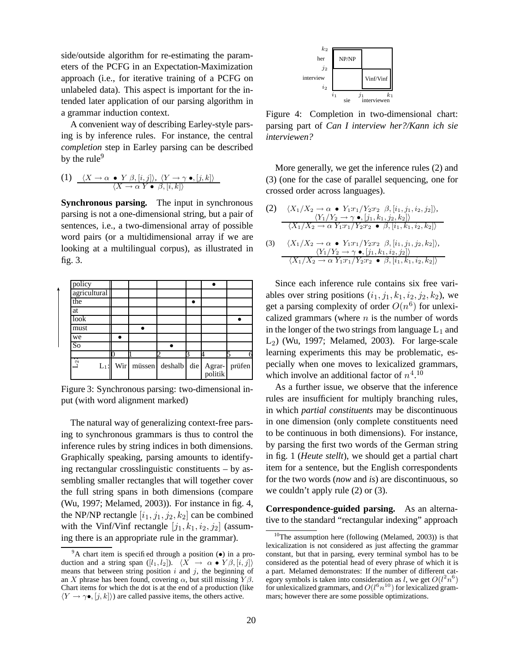side/outside algorithm for re-estimating the parameters of the PCFG in an Expectation-Maximization approach (i.e., for iterative training of a PCFG on unlabeled data). This aspect is important for the intended later application of our parsing algorithm in a grammar induction context.

A convenient way of describing Earley-style parsing is by inference rules. For instance, the central *completion* step in Earley parsing can be described by the rule $9$ 

(1) 
$$
\frac{\langle X \to \alpha \bullet Y \beta, [i, j] \rangle, \ \langle Y \to \gamma \bullet, [j, k] \rangle}{\langle X \to \alpha Y \bullet \beta, [i, k] \rangle}
$$

**Synchronous parsing.** The input in synchronous parsing is not a one-dimensional string, but a pair of sentences, i.e., a two-dimensional array of possible word pairs (or a multidimensional array if we are looking at a multilingual corpus), as illustrated in fig. 3.

| policy       |     |        |         |     |                   |        |
|--------------|-----|--------|---------|-----|-------------------|--------|
| agricultural |     |        |         |     |                   |        |
| the          |     |        |         |     |                   |        |
| at           |     |        |         |     |                   |        |
| look         |     |        |         |     |                   |        |
| must         |     |        |         |     |                   |        |
| we           |     |        |         |     |                   |        |
| So           |     |        |         |     |                   |        |
|              |     |        |         |     |                   |        |
| ्<br>$L_1$   | Wir | müssen | deshalb | die | Agrar-<br>politik | prüfen |

Figure 3: Synchronous parsing: two-dimensional input (with word alignment marked)

The natural way of generalizing context-free parsing to synchronous grammars is thus to control the inference rules by string indices in both dimensions. Graphically speaking, parsing amounts to identifying rectangular crosslinguistic constituents – by assembling smaller rectangles that will together cover the full string spans in both dimensions (compare (Wu, 1997; Melamed, 2003)). For instance in fig. 4, the NP/NP rectangle  $[i_1, j_1, j_2, k_2]$  can be combined with the Vinf/Vinf rectangle  $[j_1, k_1, i_2, j_2]$  (assuming there is an appropriate rule in the grammar).



Figure 4: Completion in two-dimensional chart: parsing part of *Can I interview her?/Kann ich sie interviewen?*

More generally, we get the inference rules (2) and (3) (one for the case of parallel sequencing, one for crossed order across languages).

(2) 
$$
\frac{\langle X_1/X_2 \to \alpha \bullet Y_1:\r_1/Y_2:\r_2 \beta, [i_1, j_1, i_2, j_2] \rangle,}{\langle Y_1/Y_2 \to \gamma \bullet, [j_1, k_1, j_2, k_2] \rangle} \cdot \frac{\langle Y_1/Y_2 \to \gamma \bullet, [j_1, k_1, j_2, k_2] \rangle}{\langle X_1/X_2 \to \alpha Y_1:\r_1/Y_2:\r_2 \bullet \beta, [i_1, k_1, i_2, k_2] \rangle} \cdot \frac{\langle Y_1/Y_2 \to \alpha \bullet Y_1:\r_1/Y_2:\r_2 \to \beta, [i_1, j_1, j_2, k_2] \rangle}{\langle X_1/X_2 \to \alpha Y_1:\r_1/Y_2:\r_2 \bullet \beta, [i_1, k_1, i_2, k_2] \rangle}
$$

Since each inference rule contains six free variables over string positions  $(i_1, j_1, k_1, i_2, j_2, k_2)$ , we get a parsing complexity of order  $O(n^6)$  for unlexicalized grammars (where  $n$  is the number of words in the longer of the two strings from language  $L_1$  and  $L<sub>2</sub>$ ) (Wu, 1997; Melamed, 2003). For large-scale learning experiments this may be problematic, especially when one moves to lexicalized grammars, which involve an additional factor of  $n^4$ .<sup>10</sup>

As a further issue, we observe that the inference rules are insufficient for multiply branching rules, in which *partial constituents* may be discontinuous in one dimension (only complete constituents need to be continuous in both dimensions). For instance, by parsing the first two words of the German string in fig. 1 (*Heute stellt*), we should get a partial chart item for a sentence, but the English correspondents for the two words (*now* and *is*) are discontinuous, so we couldn't apply rule (2) or (3).

**Correspondence-guided parsing.** As an alternative to the standard "rectangular indexing" approach

 $9^9$ A chart item is specified through a position  $\left(\bullet\right)$  in a production and a string span  $([l_1, l_2])$ .  $\langle X \rightarrow \alpha \bullet Y \beta, [i, j] \rangle$ means that between string position  $i$  and  $j$ , the beginning of an X phrase has been found, covering  $\alpha$ , but still missing  $Y\beta$ . Chart items for which the dot is at the end of a production (like  $\langle Y \rightarrow \gamma \bullet, [j, k] \rangle$  are called passive items, the others active.

 $10$ The assumption here (following (Melamed, 2003)) is that lexicalization is not considered as just affecting the grammar constant, but that in parsing, every terminal symbol has to be considered as the potential head of every phrase of which it is a part. Melamed demonstrates: If the number of different category symbols is taken into consideration as l, we get  $O(l^2n^6)$ for unlexicalized grammars, and  $O(l^6n^{10})$  for lexicalized grammars; however there are some possible optimizations.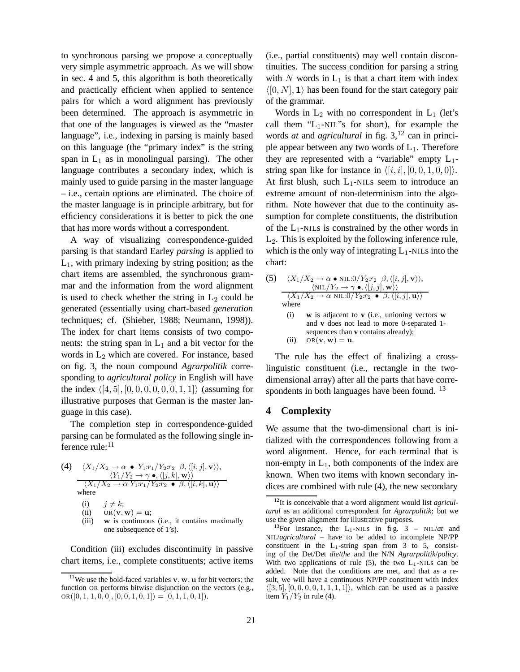to synchronous parsing we propose a conceptually very simple asymmetric approach. As we will show in sec. 4 and 5, this algorithm is both theoretically and practically efficient when applied to sentence pairs for which a word alignment has previously been determined. The approach is asymmetric in that one of the languages is viewed as the "master language", i.e., indexing in parsing is mainly based on this language (the "primary index" is the string span in  $L_1$  as in monolingual parsing). The other language contributes a secondary index, which is mainly used to guide parsing in the master language – i.e., certain options are eliminated. The choice of the master language is in principle arbitrary, but for efficiency considerations it is better to pick the one that has more words without a correspondent.

A way of visualizing correspondence-guided parsing is that standard Earley *parsing* is applied to  $L_1$ , with primary indexing by string position; as the chart items are assembled, the synchronous grammar and the information from the word alignment is used to check whether the string in  $L_2$  could be generated (essentially using chart-based *generation* techniques; cf. (Shieber, 1988; Neumann, 1998)). The index for chart items consists of two components: the string span in  $L_1$  and a bit vector for the words in  $L_2$  which are covered. For instance, based on fig. 3, the noun compound *Agrarpolitik* corresponding to *agricultural policy* in English will have the index  $\langle [4, 5], [0, 0, 0, 0, 0, 0, 1, 1] \rangle$  (assuming for illustrative purposes that German is the master language in this case).

The completion step in correspondence-guided parsing can be formulated as the following single inference rule:<sup>11</sup>

(4) 
$$
\langle X_1/X_2 \to \alpha \bullet Y_1:r_1/Y_2:r_2 \beta, \langle [i, j], \mathbf{v} \rangle \rangle, \n\langle Y_1/Y_2 \to \gamma \bullet, \langle [j, k], \mathbf{w} \rangle \rangle \n\langle X_1/X_2 \to \alpha Y_1:r_1/Y_2:r_2 \bullet \beta, \langle [i, k], \mathbf{u} \rangle \rangle \nwhere
$$

(i)  $j \neq k$ ;

(ii)  $OR(\mathbf{v}, \mathbf{w}) = \mathbf{u};$ 

(iii) w is continuous (i.e., it contains maximally one subsequence of 1's).

Condition (iii) excludes discontinuity in passive chart items, i.e., complete constituents; active items (i.e., partial constituents) may well contain discontinuities. The success condition for parsing a string with  $N$  words in  $L_1$  is that a chart item with index  $\langle [0, N], 1 \rangle$  has been found for the start category pair of the grammar.

Words in  $L_2$  with no correspondent in  $L_1$  (let's call them " $L_1$ -NIL"s for short), for example the words *at* and *agricultural* in fig. 3,<sup>12</sup> can in principle appear between any two words of  $L_1$ . Therefore they are represented with a "variable" empty  $L_1$ string span like for instance in  $\langle i, i |, [0, 0, 1, 0, 0]\rangle$ . At first blush, such  $L_1$ -NILs seem to introduce an extreme amount of non-determinism into the algorithm. Note however that due to the continuity assumption for complete constituents, the distribution of the  $L_1$ -NILs is constrained by the other words in  $L_2$ . This is exploited by the following inference rule, which is the only way of integrating  $L_1$ -NILs into the chart:

(5) 
$$
\langle X_1/X_2 \to \alpha \bullet \text{NIL}.0/Y_2:r_2 \beta, \langle [i, j], \mathbf{v} \rangle \rangle, \n\langle \text{NIL}/Y_2 \to \gamma \bullet, \langle [j, j], \mathbf{w} \rangle \rangle \n\langle X_1/X_2 \to \alpha \text{NIL}.0/Y_2:r_2 \bullet \beta, \langle [i, j], \mathbf{u} \rangle \rangle \n\text{where} \n(i) \text{ w is adjacent to v (i.e., unioning vectors w and v does not lead to more 0-separated 1-\nsequences than v contains already); \n(ii) OR(\mathbf{v}, \mathbf{w}) = \mathbf{u}.
$$

The rule has the effect of finalizing a crosslinguistic constituent (i.e., rectangle in the twodimensional array) after all the parts that have correspondents in both languages have been found.  $^{13}$ 

### **4 Complexity**

We assume that the two-dimensional chart is initialized with the correspondences following from a word alignment. Hence, for each terminal that is non-empty in  $L_1$ , both components of the index are known. When two items with known secondary indices are combined with rule (4), the new secondary

<sup>&</sup>lt;sup>11</sup>We use the bold-faced variables  $v, w, u$  for bit vectors; the function OR performs bitwise disjunction on the vectors (e.g.,  $OR([0, 1, 1, 0, 0], [0, 0, 1, 0, 1]) = [0, 1, 1, 0, 1]).$ 

<sup>12</sup>It is conceivable that a word alignment would list *agricultural* as an additional correspondent for *Agrarpolitik*; but we use the given alignment for illustrative purposes.

<sup>&</sup>lt;sup>13</sup>For instance, the L<sub>1</sub>-NILs in fig.  $3 - NIL/dt$  and NIL/*agricultural* – have to be added to incomplete NP/PP constituent in the  $L_1$ -string span from 3 to 5, consisting of the Det/Det *die*/*the* and the N/N *Agrarpolitik*/*policy*. With two applications of rule  $(5)$ , the two L<sub>1</sub>-NILs can be added. Note that the conditions are met, and that as a result, we will have a continuous NP/PP constituent with index  $\langle [3, 5], [0, 0, 0, 0, 1, 1, 1, 1]\rangle$ , which can be used as a passive item  $Y_1/Y_2$  in rule (4).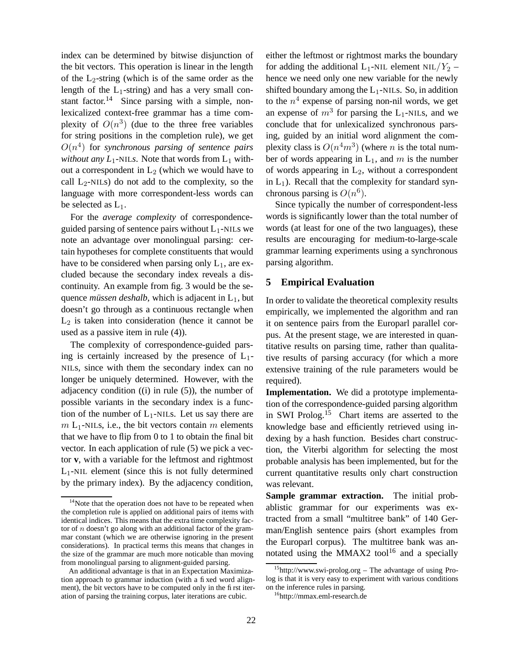index can be determined by bitwise disjunction of the bit vectors. This operation is linear in the length of the  $L_2$ -string (which is of the same order as the length of the  $L_1$ -string) and has a very small constant factor.<sup>14</sup> Since parsing with a simple, nonlexicalized context-free grammar has a time complexity of  $O(n^3)$  (due to the three free variables for string positions in the completion rule), we get  $O(n<sup>4</sup>)$  for *synchronous* parsing of sentence pairs *without any*  $L_1$ -NIL*s*. Note that words from  $L_1$  without a correspondent in  $L_2$  (which we would have to call  $L_2$ -NILs) do not add to the complexity, so the language with more correspondent-less words can be selected as  $L_1$ .

For the *average complexity* of correspondenceguided parsing of sentence pairs without  $L_1$ -NILs we note an advantage over monolingual parsing: certain hypotheses for complete constituents that would have to be considered when parsing only  $L_1$ , are excluded because the secondary index reveals a discontinuity. An example from fig. 3 would be the sequence *müssen deshalb*, which is adjacent in  $L_1$ , but doesn't go through as a continuous rectangle when  $L_2$  is taken into consideration (hence it cannot be used as a passive item in rule (4)).

The complexity of correspondence-guided parsing is certainly increased by the presence of  $L_1$ -NILs, since with them the secondary index can no longer be uniquely determined. However, with the adjacency condition ((i) in rule (5)), the number of possible variants in the secondary index is a function of the number of  $L_1$ -NILs. Let us say there are  $m$  L<sub>1</sub>-NILs, i.e., the bit vectors contain m elements that we have to flip from 0 to 1 to obtain the final bit vector. In each application of rule (5) we pick a vector **v**, with a variable for the leftmost and rightmost  $L_1$ -NIL element (since this is not fully determined by the primary index). By the adjacency condition,

either the leftmost or rightmost marks the boundary for adding the additional  $L_1$ -NIL element NIL/ $Y_2$  – hence we need only one new variable for the newly shifted boundary among the  $L_1$ -NILs. So, in addition to the  $n^4$  expense of parsing non-nil words, we get an expense of  $m^3$  for parsing the L<sub>1</sub>-NILs, and we conclude that for unlexicalized synchronous parsing, guided by an initial word alignment the complexity class is  $O(n^4m^3)$  (where *n* is the total number of words appearing in  $L_1$ , and m is the number of words appearing in  $L_2$ , without a correspondent in  $L_1$ ). Recall that the complexity for standard synchronous parsing is  $O(n^6)$ .

Since typically the number of correspondent-less words is significantly lower than the total number of words (at least for one of the two languages), these results are encouraging for medium-to-large-scale grammar learning experiments using a synchronous parsing algorithm.

#### **5 Empirical Evaluation**

In order to validate the theoretical complexity results empirically, we implemented the algorithm and ran it on sentence pairs from the Europarl parallel corpus. At the present stage, we are interested in quantitative results on parsing time, rather than qualitative results of parsing accuracy (for which a more extensive training of the rule parameters would be required).

**Implementation.** We did a prototype implementation of the correspondence-guided parsing algorithm in SWI Prolog.<sup>15</sup> Chart items are asserted to the knowledge base and efficiently retrieved using indexing by a hash function. Besides chart construction, the Viterbi algorithm for selecting the most probable analysis has been implemented, but for the current quantitative results only chart construction was relevant.

**Sample grammar extraction.** The initial probablistic grammar for our experiments was extracted from a small "multitree bank" of 140 German/English sentence pairs (short examples from the Europarl corpus). The multitree bank was annotated using the MMAX2 tool<sup>16</sup> and a specially

<sup>&</sup>lt;sup>14</sup>Note that the operation does not have to be repeated when the completion rule is applied on additional pairs of items with identical indices. This means that the extra time complexity factor of  $n$  doesn't go along with an additional factor of the grammar constant (which we are otherwise ignoring in the present considerations). In practical terms this means that changes in the size of the grammar are much more noticable than moving from monolingual parsing to alignment-guided parsing.

An additional advantage is that in an Expectation Maximization approach to grammar induction (with a fixed word alignment), the bit vectors have to be computed only in the first iteration of parsing the training corpus, later iterations are cubic.

 $15$ http://www.swi-prolog.org – The advantage of using Prolog is that it is very easy to experiment with various conditions on the inference rules in parsing.

<sup>16</sup>http://mmax.eml-research.de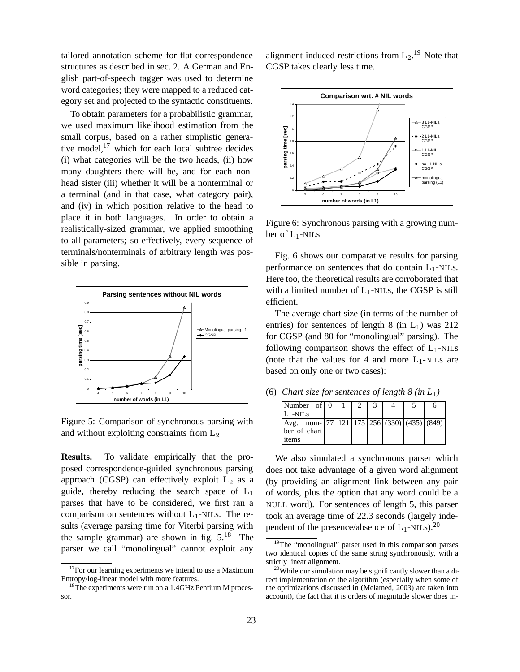tailored annotation scheme for flat correspondence structures as described in sec. 2. A German and English part-of-speech tagger was used to determine word categories; they were mapped to a reduced category set and projected to the syntactic constituents.

To obtain parameters for a probabilistic grammar, we used maximum likelihood estimation from the small corpus, based on a rather simplistic generative model, $17$  which for each local subtree decides (i) what categories will be the two heads, (ii) how many daughters there will be, and for each nonhead sister (iii) whether it will be a nonterminal or a terminal (and in that case, what category pair), and (iv) in which position relative to the head to place it in both languages. In order to obtain a realistically-sized grammar, we applied smoothing to all parameters; so effectively, every sequence of terminals/nonterminals of arbitrary length was possible in parsing.



Figure 5: Comparison of synchronous parsing with and without exploiting constraints from  $L_2$ 

**Results.** To validate empirically that the proposed correspondence-guided synchronous parsing approach (CGSP) can effectively exploit  $L_2$  as a guide, thereby reducing the search space of  $L_1$ parses that have to be considered, we first ran a comparison on sentences without  $L_1$ -NILs. The results (average parsing time for Viterbi parsing with the sample grammar) are shown in fig.  $5.^{18}$  The parser we call "monolingual" cannot exploit any

alignment-induced restrictions from  $L_2$ .<sup>19</sup> Note that CGSP takes clearly less time.



Figure 6: Synchronous parsing with a growing number of  $L_1$ -NILs

Fig. 6 shows our comparative results for parsing performance on sentences that do contain  $L_1$ -NILs. Here too, the theoretical results are corroborated that with a limited number of  $L_1$ -NILs, the CGSP is still efficient.

The average chart size (in terms of the number of entries) for sentences of length 8 (in  $L_1$ ) was 212 for CGSP (and 80 for "monolingual" parsing). The following comparison shows the effect of  $L_1$ -NILS (note that the values for 4 and more  $L_1$ -NILs are based on only one or two cases):

(6) *Chart size for sentences of length*  $8$  *(in*  $L_1$ *)* 

| Number of $\begin{array}{ c c c c c c } \hline 0 & 1 \end{array}$                |  |  |  |  |
|----------------------------------------------------------------------------------|--|--|--|--|
| $L_1$ -NILS                                                                      |  |  |  |  |
| Avg. num- $\begin{bmatrix} 77 & 121 & 175 & 256 & 330 \end{bmatrix}$ (435) (849) |  |  |  |  |
| ber of chart                                                                     |  |  |  |  |
| items                                                                            |  |  |  |  |

We also simulated a synchronous parser which does not take advantage of a given word alignment (by providing an alignment link between any pair of words, plus the option that any word could be a NULL word). For sentences of length 5, this parser took an average time of 22.3 seconds (largely independent of the presence/absence of  $L_1$ -NILs).<sup>20</sup>

 $17$ For our learning experiments we intend to use a Maximum Entropy/log-linear model with more features.

<sup>&</sup>lt;sup>18</sup>The experiments were run on a 1.4GHz Pentium M processor.

<sup>&</sup>lt;sup>19</sup>The "monolingual" parser used in this comparison parses two identical copies of the same string synchronously, with a strictly linear alignment.

 $20$ While our simulation may be significantly slower than a direct implementation of the algorithm (especially when some of the optimizations discussed in (Melamed, 2003) are taken into account), the fact that it is orders of magnitude slower does in-